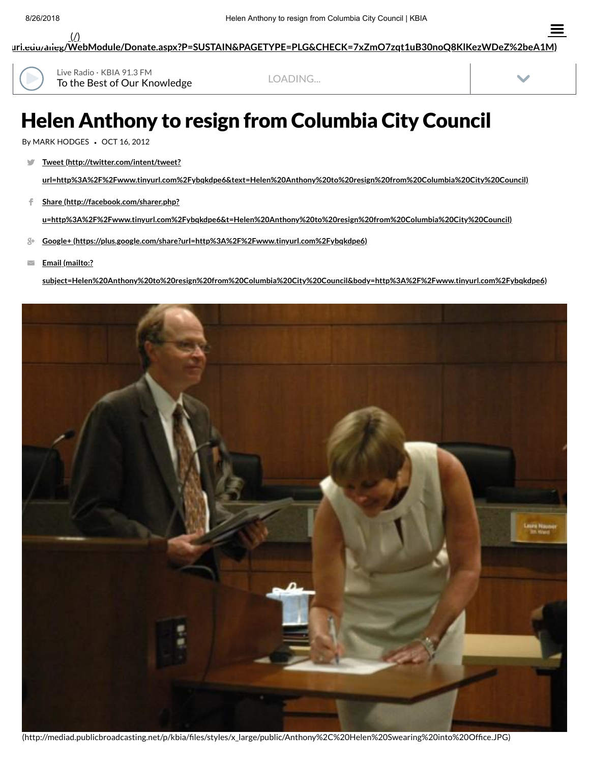**[uri.edu/alleg/WebModule/Donate.aspx?P=SUSTAIN&PAGETYPE=PLG&CHECK=7xZmO7zqt1uB30noQ8KlKezWDeZ%2beA1M\)](https://kbia.missouri.edu/alleg/WebModule/Donate.aspx?P=SUSTAIN&PAGETYPE=PLG&CHECK=7xZmO7zqt1uB30noQ8KlKezWDeZ%2beA1M)**  $($  $/$  $)$ 



To the Best of Our Knowledge Live Radio · KBIA 91.3 FM

LOADING...



 $\equiv$ 

## Helen Anthony to resign from Columbia City Council

By MARK HODGES *•* OCT 16, 2012

**Tweet (http://twitter.com/intent/tweet?** V.

**[url=http%3A%2F%2Fwww.tinyurl.com%2Fybqkdpe6&text=Helen%20Anthony%20to%20resign%20from%20Columbia%20City%20Council\)](http://twitter.com/intent/tweet?url=http%3A%2F%2Fwww.tinyurl.com%2Fybqkdpe6&text=Helen%20Anthony%20to%20resign%20from%20Columbia%20City%20Council)**

**Share (http://facebook.com/sharer.php?**  $\mathsf{f}$  .

**[u=http%3A%2F%2Fwww.tinyurl.com%2Fybqkdpe6&t=Helen%20Anthony%20to%20resign%20from%20Columbia%20City%20Council\)](http://facebook.com/sharer.php?u=http%3A%2F%2Fwww.tinyurl.com%2Fybqkdpe6&t=Helen%20Anthony%20to%20resign%20from%20Columbia%20City%20Council)**

- **Google+ [\(https://plus.google.com/share?url=http%3A%2F%2Fwww.tinyurl.com%2Fybqkdpe6\)](https://plus.google.com/share?url=http%3A%2F%2Fwww.tinyurl.com%2Fybqkdpe6)**
- **Email (mailto:?**  $\overline{\smile}$

**[subject=Helen%20Anthony%20to%20resign%20from%20Columbia%20City%20Council&body=http%3A%2F%2Fwww.tinyurl.com%2Fybqkdpe6\)](mailto:?subject=Helen%20Anthony%20to%20resign%20from%20Columbia%20City%20Council&body=http%3A%2F%2Fwww.tinyurl.com%2Fybqkdpe6)**



(http://mediad.publicbroadcasting.net/p/kbia/files/styles/x\_large/public/Anthony%2C%20Helen%20Swearing%20into%20Office.JPG)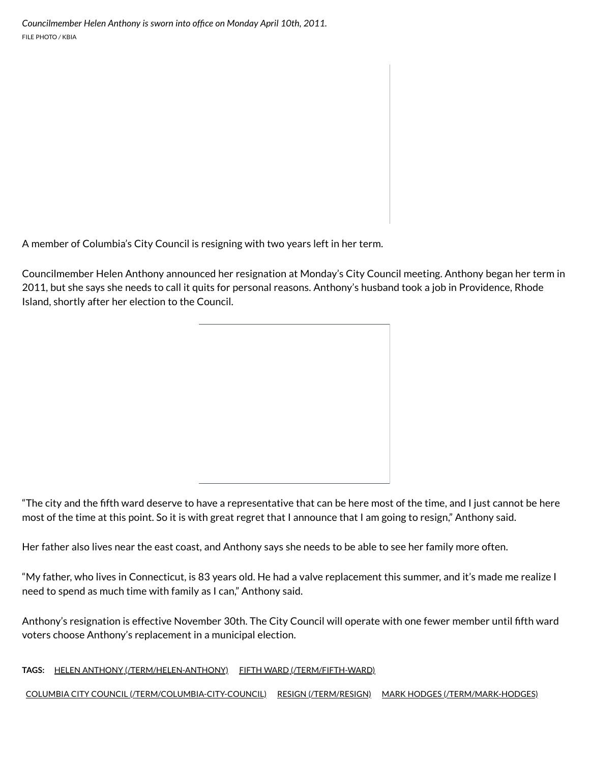A member of Columbia's City Council is resigning with two years left in her term.

Councilmember Helen Anthony announced her resignation at Monday's City Council meeting. Anthony began her term in 2011, but she says she needs to call it quits for personal reasons. Anthony's husband took a job in Providence, Rhode Island, shortly after her election to the Council.

Her father also lives near the east coast, and Anthony says she needs to be able to see her family more often.

"My father, who lives in Connecticut, is 83 years old. He had a valve replacement this summer, and it's made me realize I need to spend as much time with family as I can," Anthony said.

Anthony's resignation is effective November 30th. The City Council will operate with one fewer member until fth ward voters choose Anthony's replacement in a municipal election.

**TAGS:** HELEN ANTHONY [\(/TERM/HELEN-ANTHONY\)](http://www.kbia.org/term/helen-anthony) FIFTH WARD [\(/TERM/FIFTH-WARD\)](http://www.kbia.org/term/fifth-ward)

COLUMBIA CITY COUNCIL [\(/TERM/COLUMBIA-CITY-COUNCIL\)](http://www.kbia.org/term/columbia-city-council) RESIGN [\(/TERM/RESIGN\)](http://www.kbia.org/term/resign) MARK HODGES [\(/TERM/MARK-HODGES\)](http://www.kbia.org/term/mark-hodges)

<sup>&</sup>quot;The city and the fth ward deserve to have a representative that can be here most of the time, and I just cannot be here most of the time at this point. So it is with great regret that I announce that I am going to resign," Anthony said.